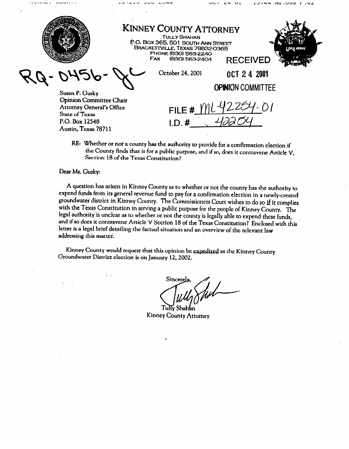**KINNEY COUNTY ATTORNEY** TULLT SHAHAN **JU. BOX 365. SOLI SOUTH ANN STREET BRACKETTVILLE, TEXAS 78832-0365 PHONE (830) 563-2240**<br>FAX (830) 563-2404 (830) 563-2404 **RECEIVED** October 24, 2001 OCT 24 2001 **OPINION COMMITTEE Susan P. Gusky Opinion Committee Chair**  FILE# Attorney General & Ginco State of **Texas**   $ID.#$  $P_{\rm 1}$  $\ldots$ 

 $110.000T.0Z$ 

RE: Whether or not a county has the authority to provide for a confirmation election if the County finds that is for a public purpose, and if so, does it contravene Article V, **Section 18** of **the** Texas Constitution?

## Dear Ms. Gusky:

**A** question **has** arisen in Kinney **County as to whether or not** the counry **has the authority to**  groundwater district in Kinney County. The Commissioners Court wishes to do so if it complies with the Texas Constitution in serving a public purpose for the people of Kinney County. The legal authority is unclear as to whether or not the county is legally able to expend these funds, and if so does it contravene Article V Section 18 of the Texas Constitution? Enclosed with this **letter** is a legal brief detailing the footunl city of the Texas Constitution? Enclosed with this letter is a legal bricfdctailing **the fiactual situation and an Overview of** the **relevant law**  addressing this mattei.

Kinney County would request that this opinion be expedited as the Kinney County<br>Groundwater District election is on January 12, 2002. Groundwater Disttict clcction is on **Jammy 12,2002.** 

Sincerely

 $Tuliv Shahan$ Kinney County Attorney